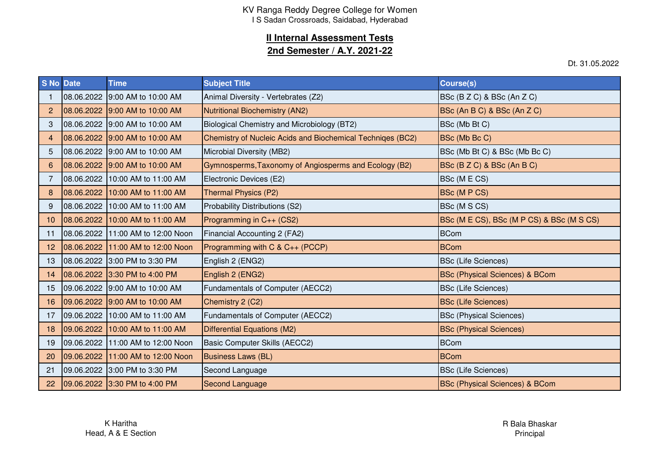# **II Internal Assessment Tests**

### **2nd Semester / A.Y. 2021-22**

Dt. 31.05.2022

| <b>S No Date</b> | <b>Time</b>                       | <b>Subject Title</b>                                       | <b>Course(s)</b>                          |
|------------------|-----------------------------------|------------------------------------------------------------|-------------------------------------------|
|                  | 08.06.2022 9:00 AM to 10:00 AM    | Animal Diversity - Vertebrates (Z2)                        | BSc (B Z C) & BSc (An Z C)                |
| $\overline{2}$   | 08.06.2022 9:00 AM to 10:00 AM    | Nutritional Biochemistry (AN2)                             | BSc (An B C) & BSc (An Z C)               |
| 3                | 08.06.2022 9:00 AM to 10:00 AM    | Biological Chemistry and Microbiology (BT2)                | BSc (Mb Bt C)                             |
| 4                | 08.06.2022 9:00 AM to 10:00 AM    | Chemistry of Nucleic Acids and Biochemical Techniges (BC2) | BSc (Mb Bc C)                             |
| 5                | 08.06.2022 9:00 AM to 10:00 AM    | Microbial Diversity (MB2)                                  | BSc (Mb Bt C) & BSc (Mb Bc C)             |
| 6                | 08.06.2022 9:00 AM to 10:00 AM    | Gymnosperms, Taxonomy of Angiosperms and Ecology (B2)      | BSc (B Z C) & BSc (An B C)                |
|                  | 08.06.2022 10:00 AM to 11:00 AM   | Electronic Devices (E2)                                    | BSc (MECS)                                |
| 8                | 08.06.2022 10:00 AM to 11:00 AM   | <b>Thermal Physics (P2)</b>                                | BSc (M P CS)                              |
| 9                | 08.06.2022 10:00 AM to 11:00 AM   | Probability Distributions (S2)                             | BSc (M S CS)                              |
| 10 <sup>°</sup>  | 08.06.2022 10:00 AM to 11:00 AM   | Programming in C++ (CS2)                                   | BSc (M E CS), BSc (M P CS) & BSc (M S CS) |
| 11               | 08.06.2022 11:00 AM to 12:00 Noon | Financial Accounting 2 (FA2)                               | <b>BCom</b>                               |
| 12 <sub>2</sub>  | 08.06.2022 11:00 AM to 12:00 Noon | Programming with C & C++ (PCCP)                            | <b>BCom</b>                               |
| 13               | 08.06.2022 3:00 PM to 3:30 PM     | English 2 (ENG2)                                           | <b>BSc (Life Sciences)</b>                |
| 14               | 08.06.2022 3:30 PM to 4:00 PM     | English 2 (ENG2)                                           | <b>BSc (Physical Sciences) &amp; BCom</b> |
| 15 <sub>1</sub>  | 09.06.2022 9:00 AM to 10:00 AM    | Fundamentals of Computer (AECC2)                           | <b>BSc (Life Sciences)</b>                |
| 16               | 09.06.2022 9:00 AM to 10:00 AM    | Chemistry 2 (C2)                                           | <b>BSc (Life Sciences)</b>                |
| 17               | 09.06.2022 10:00 AM to 11:00 AM   | Fundamentals of Computer (AECC2)                           | <b>BSc (Physical Sciences)</b>            |
| 18 <sup>°</sup>  | 09.06.2022 10:00 AM to 11:00 AM   | <b>Differential Equations (M2)</b>                         | <b>BSc (Physical Sciences)</b>            |
| 19               | 09.06.2022 11:00 AM to 12:00 Noon | Basic Computer Skills (AECC2)                              | <b>BCom</b>                               |
| 20               | 09.06.2022 11:00 AM to 12:00 Noon | <b>Business Laws (BL)</b>                                  | <b>BCom</b>                               |
| 21               | 09.06.2022 3:00 PM to 3:30 PM     | Second Language                                            | <b>BSc (Life Sciences)</b>                |
| 22               | 09.06.2022 3:30 PM to 4:00 PM     | <b>Second Language</b>                                     | <b>BSc (Physical Sciences) &amp; BCom</b> |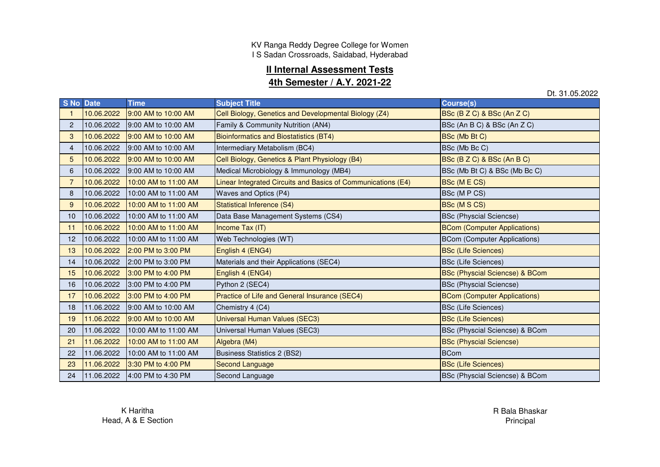KV Ranga Reddy Degree College for Women I S Sadan Crossroads, Saidabad, Hyderabad

### **II Internal Assessment Tests**

#### **4th Semester / A.Y. 2021-22**

Dt. 31.05.2022

|                 | S No Date  | <b>Time</b>          | <b>Subject Title</b>                                         | <b>Course(s)</b>                          |
|-----------------|------------|----------------------|--------------------------------------------------------------|-------------------------------------------|
|                 | 10.06.2022 | 9:00 AM to 10:00 AM  | Cell Biology, Genetics and Developmental Biology (Z4)        | BSc (B Z C) & BSc (An Z C)                |
| $\overline{2}$  | 10.06.2022 | 9:00 AM to 10:00 AM  | Family & Community Nutrition (AN4)                           | BSc (An B C) & BSc (An Z C)               |
| 3               | 10.06.2022 | 9:00 AM to 10:00 AM  | <b>Bioinformatics and Biostatistics (BT4)</b>                | BSc (Mb Bt C)                             |
| 4               | 10.06.2022 | 9:00 AM to 10:00 AM  | Intermediary Metabolism (BC4)                                | BSc (Mb Bc C)                             |
| 5.              | 10.06.2022 | 9:00 AM to 10:00 AM  | Cell Biology, Genetics & Plant Physiology (B4)               | BSc (B Z C) & BSc (An B C)                |
| 6               | 10.06.2022 | 9:00 AM to 10:00 AM  | Medical Microbiology & Immunology (MB4)                      | BSc (Mb Bt C) & BSc (Mb Bc C)             |
| $\overline{7}$  | 10.06.2022 | 10:00 AM to 11:00 AM | Linear Integrated Circuits and Basics of Communications (E4) | BSc (MECS)                                |
| 8               | 10.06.2022 | 10:00 AM to 11:00 AM | Waves and Optics (P4)                                        | BSc (MPCS)                                |
| 9               | 10.06.2022 | 10:00 AM to 11:00 AM | Statistical Inference (S4)                                   | <b>BSc (MSCS)</b>                         |
| 10 <sup>1</sup> | 10.06.2022 | 10:00 AM to 11:00 AM | Data Base Management Systems (CS4)                           | <b>BSc (Physcial Sciencse)</b>            |
| 11              | 10.06.2022 | 10:00 AM to 11:00 AM | Income Tax (IT)                                              | <b>BCom (Computer Applications)</b>       |
| 12 <sub>2</sub> | 10.06.2022 | 10:00 AM to 11:00 AM | Web Technologies (WT)                                        | <b>BCom (Computer Applications)</b>       |
| 13              | 10.06.2022 | 2:00 PM to 3:00 PM   | English 4 (ENG4)                                             | <b>BSc (Life Sciences)</b>                |
| 14              | 10.06.2022 | 2:00 PM to 3:00 PM   | Materials and their Applications (SEC4)                      | <b>BSc (Life Sciences)</b>                |
| 15              | 10.06.2022 | 3:00 PM to 4:00 PM   | English 4 (ENG4)                                             | <b>BSc (Physcial Sciencse) &amp; BCom</b> |
| 16              | 10.06.2022 | 3:00 PM to 4:00 PM   | Python 2 (SEC4)                                              | <b>BSc (Physcial Sciencse)</b>            |
| 17              | 10.06.2022 | 3:00 PM to 4:00 PM   | Practice of Life and General Insurance (SEC4)                | <b>BCom (Computer Applications)</b>       |
| 18              | 11.06.2022 | 9:00 AM to 10:00 AM  | Chemistry 4 (C4)                                             | <b>BSc (Life Sciences)</b>                |
| 19              | 11.06.2022 | 9:00 AM to 10:00 AM  | <b>Universal Human Values (SEC3)</b>                         | <b>BSc (Life Sciences)</b>                |
| 20              | 11.06.2022 | 10:00 AM to 11:00 AM | Universal Human Values (SEC3)                                | BSc (Physcial Sciencse) & BCom            |
| 21              | 11.06.2022 | 10:00 AM to 11:00 AM | Algebra (M4)                                                 | <b>BSc (Physcial Sciencse)</b>            |
| 22              | 11.06.2022 | 10:00 AM to 11:00 AM | <b>Business Statistics 2 (BS2)</b>                           | <b>BCom</b>                               |
| 23              | 11.06.2022 | 3:30 PM to 4:00 PM   | <b>Second Language</b>                                       | <b>BSc (Life Sciences)</b>                |
| 24              | 11.06.2022 | 4:00 PM to 4:30 PM   | Second Language                                              | BSc (Physcial Sciencse) & BCom            |